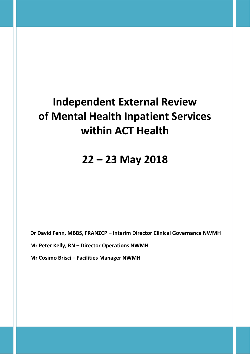# **Independent External Review of Mental Health Inpatient Services within ACT Health**

## **22 – 23 May 2018**

**Dr David Fenn, MBBS, FRANZCP – Interim Director Clinical Governance NWMH**

**Mr Peter Kelly, RN – Director Operations NWMH**

**Mr Cosimo Brisci – Facilities Manager NWMH**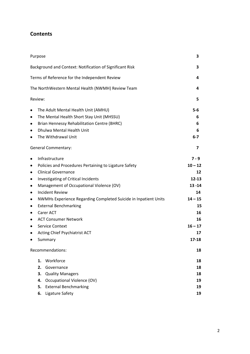### **Contents**

| Purpose                                                              | 3         |
|----------------------------------------------------------------------|-----------|
| Background and Context: Notification of Significant Risk             | 3         |
| Terms of Reference for the Independent Review                        | 4         |
| The NorthWestern Mental Health (NWMH) Review Team                    | 4         |
| Review:                                                              | 5         |
| The Adult Mental Health Unit (AMHU)<br>٠                             | $5-6$     |
| The Mental Health Short Stay Unit (MHSSU)<br>٠                       | 6         |
| <b>Brian Hennessy Rehabilitation Centre (BHRC)</b><br>٠              | 6         |
| Dhulwa Mental Health Unit<br>٠                                       | 6         |
| The Withdrawal Unit<br>٠                                             | $6-7$     |
| <b>General Commentary:</b>                                           | 7         |
| Infrastructure<br>٠                                                  | $7 - 9$   |
| Policies and Procedures Pertaining to Ligature Safety<br>٠           | $10 - 12$ |
| <b>Clinical Governance</b><br>٠                                      | 12        |
| Investigating of Critical Incidents<br>٠                             | $12 - 13$ |
| Management of Occupational Violence (OV)<br>٠                        | $13 - 14$ |
| <b>Incident Review</b><br>٠                                          | 14        |
| NWMHs Experience Regarding Completed Suicide in Inpatient Units<br>٠ | $14 - 15$ |
| <b>External Benchmarking</b><br>٠                                    | 15        |
| Carer ACT<br>٠                                                       | 16        |
| <b>ACT Consumer Network</b><br>٠                                     | 16        |
| Service Context<br>٠                                                 | $16 - 17$ |
| Acting Chief Psychiatrist ACT<br>٠                                   | 17        |
| Summary                                                              | 17-18     |
| Recommendations:                                                     | 18        |
| Workforce<br>1.                                                      | 18        |
| 2.<br>Governance                                                     | 18        |
| 3.<br><b>Quality Managers</b>                                        | 18        |
| <b>Occupational Violence (OV)</b><br>4.                              | 19        |
| <b>External Benchmarking</b><br>5.                                   | 19        |
| Ligature Safety<br>6.                                                | 19        |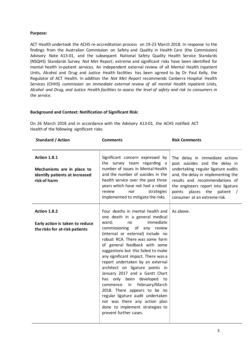#### **Purpose:**

ACT Health undertook the ACHS re‐accreditation process on 19‐23 March 2018. In response to the findings from the Australian Commission on Safety and Quality in Health Care (the Commission) Advisory Note A13‐01, and the subsequent National Safety Quality Health Service Standards (NSQHS) Standards Survey *Not Met Report*, extreme and significant risks have been identified for mental health in‐patient services. An independent external review of all Mental Health Inpatient Units, Alcohol and Drug and Justice Health facilities has been agreed to by Dr Paul Kelly, the Regulator of ACT Health. In addition the *Not Met Report* recommends Canberra Hospital Health Services (CHHS) *commission an immediate external review of all mental Health Inpatient Units,* Alcohol and Drug, and Justice Health facilities to assess the level of safety and risk to consumers in *the service.*

#### **Background and Context: Notification of Significant Risk:**

On 26 March 2018 and in accordance with the Advisory A13‐01, the ACHS notified ACT Health of the following significant risks:

| Standard / Action                                                                            | <b>Comments</b>                                                                                                                                                                                                                                                                                                                                                                                                                                                                                                                                                                                                                                                             | <b>Risk Comments</b>                                                                                                                                                                                                                                                                    |
|----------------------------------------------------------------------------------------------|-----------------------------------------------------------------------------------------------------------------------------------------------------------------------------------------------------------------------------------------------------------------------------------------------------------------------------------------------------------------------------------------------------------------------------------------------------------------------------------------------------------------------------------------------------------------------------------------------------------------------------------------------------------------------------|-----------------------------------------------------------------------------------------------------------------------------------------------------------------------------------------------------------------------------------------------------------------------------------------|
| Action 1.8.1<br>Mechanisms are in place to<br>identify patients at increased<br>risk of harm | Significant concern expressed by<br>the survey team regarding a<br>number of issues in Mental Health<br>and the number of suicides in the<br>health service over the past three<br>years which have not had a robust<br>review<br>nor<br>strategies<br>implemented to mitigate the risks.                                                                                                                                                                                                                                                                                                                                                                                   | The delay in immediate actions<br>post suicides and the delay in<br>undertaking regular ligature audits<br>and, the delay in implementing the<br>results and recommendations of<br>the engineers report into ligature<br>places the patient /<br>points<br>consumer at an extreme risk. |
| Action 1.8.2<br>Early action is taken to reduce<br>the risks for at-risk patients            | Four deaths in mental health and<br>one death in a general medical<br>immediate<br>ward;<br>no<br>commissioning<br>of any<br>review<br>(internal or external) include no<br>robust RCA. There was some form<br>of general feedback with some<br>suggestions but this failed to make<br>any significant impact. There was a<br>report undertaken by an external<br>architect on ligature points in<br>January 2017 and a Gantt Chart<br>has only been developed<br>to<br>in<br>February/March<br>commence<br>2018. There appears to be no<br>regular ligature audit undertaken<br>nor was there any action plan<br>done to implement strategies to<br>prevent further cases. | As above.                                                                                                                                                                                                                                                                               |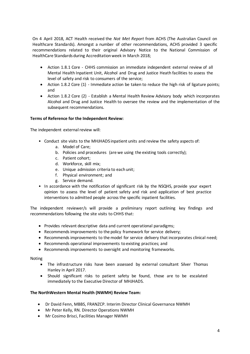On 4 April 2018, ACT Health received the *Not Met Report* from ACHS (The Australian Council on Healthcare Standards). Amongst a number of other recommendations, ACHS provided 3 specific recommendations related to their original Advisory Notice to the National Commission of HealthCare Standards during Accreditation week in March 2018;

- Action 1.8.1 Core CHHS commission an immediate independent external review of all Mental Health Inpatient Unit, Alcohol and Drug and Justice Heath facilities to assess the level of safety and risk to consumers of the service;
- Action 1.8.2 Core (1) Immediate action be taken to reduce the high risk of ligature points; and
- Action 1.8.2 Core (2) Establish a Mental Health Review Advisory body which incorporates Alcohol and Drug and Justice Health to oversee the review and the implementation of the subsequent recommendations.

#### **Terms of Reference for the Independent Review:**

The independent external review will:

- Conduct site visits to the MHJHADS inpatient units and review the safety aspects of:
	- a. Model of Care;
	- b. Policies and procedures (are we using the existing tools correctly);
	- c. Patient cohort;
	- d. Workforce, skill mix;
	- e. Unique admission criteria to each unit;
	- f. Physical environment; and
	- g. Service demand.
- In accordance with the notification of significant risk by the NSQHS, provide your expert opinion to assess the level of patient safety and risk and application of best practice interventions to admitted people across the specific inpatient facilities.

The independent reviewer/s will provide a preliminary report outlining key findings and recommendations following the site visits to CHHS that:

- Provides relevant descriptive data and current operational paradigms;
- Recommends improvements to the policy framework for service delivery;
- Recommends improvements to the model for service delivery that incorporates clinical need;
- Recommends operational improvements to existing practices; and
- Recommends improvements to oversight and monitoring frameworks.

#### Noting

- The infrastructure risks have been assessed by external consultant Silver Thomas Hanley in April 2017.
- Should significant risks to patient safety be found, those are to be escalated immediately to the Executive Director of MHJHADS.

#### **The NorthWestern Mental Health (NWMH) Review Team:**

- Dr David Fenn, MBBS, FRANZCP. Interim Director Clinical Governance NWMH
- Mr Peter Kelly, RN. Director Operations NWMH
- Mr Cosimo Brisci, Facilities Manager NWMH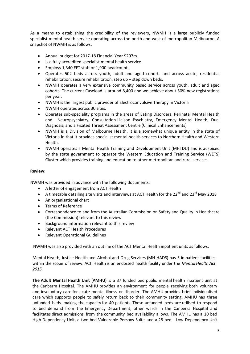As a means to establishing the credibility of the reviewers, NWMH is a large publicly funded specialist mental health service operating across the north and west of metropolitan Melbourne. A snapshot of NWMH is as follows:

- Annual budget for 2017‐18 Financial Year \$207m.
- Is a fully accredited specialist mental health service.
- **•** Employs 1,340 EFT staff or 1,900 headcount.
- Operates 502 beds across youth, adult and aged cohorts and across acute, residential rehabilitation, secure rehabilitation, step up – step down beds.
- NWMH operates a very extensive community based service across youth, adult and aged cohorts. The current Caseload is around 8,400 and we achieve about 50% new registrations per year.
- NWMH is the largest public provider of Electroconvulsive Therapy in Victoria
- NWMH operates across 30 sites.
- Operates sub‐speciality programs in the areas of Eating Disorders, Perinatal Mental Health and Neuropsychiatry, Consultation-Liaison Psychiatry, Emergency Mental Health, Dual Diagnosis, and a Fixated Threat Assessment Centre (Clinical Enhancements)
- NWMH is a Division of Melbourne Health. It is a somewhat unique entity in the state of Victoria in that it provides specialist mental health services to Northern Health and Western Health.
- NWMH operates a Mental Health Training and Development Unit (MHTDU) and is auspiced by the state government to operate the Western Education and Training Service (WETS) Cluster which provides training and education to other metropolitan and rural services.

#### **Review:**

NWMH was provided in advance with the following documents:

- A letter of engagement from ACT Health
- A timetable detailing site visits and interviews at ACT Health for the  $22^{nd}$  and  $23^{rd}$  May 2018
- An organisational chart
- Terms of Reference
- Correspondence to and from the Australian Commission on Safety and Quality in Healthcare (the Commission) relevant to this review
- Background information relevant to this review
- Relevant ACT Health Procedures
- Relevant Operational Guidelines

NWMH was also provided with an outline of the ACT Mental Health inpatient units as follows:

Mental Health, Justice Health and Alcohol and Drug Services (MHJHADS) has 5 in‐patient facilities within the scope of review. ACT Health is an endorsed health facility under the *Mental Health Act 2015.*

**The Adult Mental Health Unit (AMHU)** is a 37 funded bed public mental health inpatient unit at the Canberra Hospital. The AMHU provides an environment for people receiving both voluntary and involuntary care for acute mental illness or disorder. The AMHU provides brief individualised care which supports people to safely return back to their community setting. AMHU has three unfunded beds, making the capacity for 40 patients. These unfunded beds are utilised to respond to bed demand from the Emergency Department, other wards in the Canberra Hospital and facilitates direct admissions from the community bed availability allows. The AMHU has a 10 bed High Dependency Unit, a two bed Vulnerable Persons Suite and a 28 bed Low Dependency Unit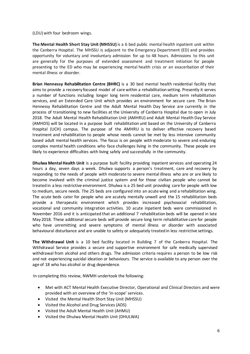(LDU) with four bedroom wings.

**The Mental Health Short Stay Unit (MHSSU)** is a 6 bed public mental health inpatient unit within the Canberra Hospital. The MHSSU is adjacent to the Emergency Department (ED) and provides opportunity for voluntary and involuntary admission for up to 48 hours. Admissions to this unit are generally for the purposes of extended assessment and treatment initiation for people presenting to the ED who may be experiencing mental health crisis or an exacerbation of their mental illness or disorder.

**Brian Hennessy Rehabilitation Centre (BHRC)** is a 30 bed mental health residential facility that aims to provide a recovery focused model of care within a rehabilitation setting. Presently it serves a number of functions including longer long term residential care, medium term rehabilitation services, and an Extended Care Unit which provides an environment for secure care. The Brian Hennessy Rehabilitation Centre and the Adult Mental Health Day Service are currently in the process of transitioning to new facilities at the University of Canberra Hospital due to open in July 2018. The Adult Mental Health Rehabilitation Unit (AMHRU) and Adult Mental Health Day Service (AMHDS) will be located in a purpose built rehabilitation unit based on the University of Canberra Hospital (UCH) campus. The purpose of the AMHRU is to deliver effective recovery based treatment and rehabilitation to people whose needs cannot be met by less intensive community based adult mental health services. The focus is on people with moderate to severe and enduring complex mental health conditions who face challenges living in the community. These people are likely to experience difficulties with living safely and successfully in the community.

**Dhulwa Mental Health Unit** is a purpose built facility providing inpatient services and operating 24 hours a day, seven days a week. Dhulwa supports a person's treatment, care and recovery by responding to the needs of people with moderate to severe mental illness who are or are likely to become involved with the criminal justice system and for those civilian people who cannot be treated in a less restrictive environment. Dhulwa is a 25 bed unit providing care for people with low to medium, secure needs. The 25 beds are configured into an acute wing and a rehabilitation wing. The acute beds cater for people who are acutely mentally unwell and the 15 rehabilitation beds provide a therapeutic environment which provides increased psychosocial rehabilitation, vocational and community integration activities. 10 acute inpatient beds were commissioned in November 2016 and it is anticipated that an additional 7 rehabilitation beds will be opened in late May 2018. These additional secure beds will provide secure long term rehabilitative care for people who have unremitting and severe symptoms of mental illness or disorder with associated behavioural disturbance and are unable to safety or adequately treated in less restrictive settings.

**The Withdrawal Unit** is a 10 bed facility located in Building 7 of the Canberra Hospital. The Withdrawal Service provides a secure and supportive environment for safe medically supervised withdrawal from alcohol and others drugs. The admission criteria requires a person to be low risk and not experiencing suicidal ideation or behaviours. The service is available to any person over the age of 18 who has alcohol or drug dependence.

In completing this review, NWMH undertook the following:

- Met with ACT Mental Health Executive Director, Operational and Clinical Directors and were provided with an overview of the 'in‐scope' services.
- Visited the Mental Health Short Stay Unit (MHSSU)
- Visited the Alcohol and Drug Services (ADS)
- Visited the Adult Mental Health Unit (AHMU)
- Visited the Dhulwa Mental Health Unit (DHULWA)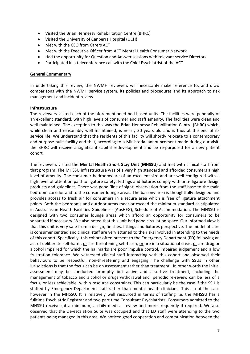- Visited the Brian Hennessy Rehabilitation Centre (BHRC)
- Visited the University of Canberra Hospital (UCH)
- Met with the CEO from Carers ACT
- Met with the Executive Officer from ACT Mental Health Consumer Network
- Had the opportunity for Question and Answer sessions with relevant service Directors
- Participated in a teleconference call with the Chief Psychiatrist of the ACT

#### **General Commentary**

In undertaking this review, the NWMH reviewers will necessarily make reference to, and draw comparisons with the NWMH service system, its policies and procedures and its approach to risk management and incident review.

#### **Infrastructure**

The reviewers visited each of the aforementioned bed‐based units. The facilities were generally of an excellent standard, with high levels of consumer and staff amenity. The facilities were clean and well maintained. The exception to this was the Brian Hennessy Rehabilitation Centre (BHRC) which, while clean and reasonably well maintained, is nearly 30 years old and is thus at the end of its service life. We understand that the residents of this facility will shortly relocate to a contemporary and purpose built facility and that, according to a Ministerial announcement made during our visit, the BHRC will receive a significant capital redevelopment and be re‐purposed for a new patient cohort.

The reviewers visited the **Mental Health Short Stay Unit (MHSSU)** and met with clinical staff from that program. The MHSSU infrastructure was of a very high standard and afforded consumers a high level of amenity. The consumer bedrooms are of an excellent size and are well configured with a high level of attention paid to ligature safety. Fittings and fixtures comply with anti- ligature design products and guidelines. There was good 'line of sight' observation from the staff base to the main bedroom corridor and to the consumer lounge areas. The balcony area is thoughtfully designed and provides access to fresh air for consumers in a secure area which is free of ligature attachment points. Both the bedrooms and outdoor areas meet or exceed the minimum standard as stipulated in Australasian Health Facilities Guidelines- (AusHFG), Schedule of Accommodation. The MHSSU is designed with two consumer lounge areas which afford an opportunity for consumers to be separated if necessary. We also noted that this unit had good circulation space. Our informed view is that this unit is very safe from a design, finishes, fittings and fixtures perspective. The model of care is consumer centred and clinical staff are very attuned to the risks involved in attending to the needs of this cohort. Specifically, this cohort often present to the Emergency Department (ED) following an act of deliberate self-harm, or are threatening self-harm, or are in a situational crisis, or are drug or alcohol impaired for which the hallmarks are poor impulse control, impaired judgement and a low frustration tolerance. We witnessed clinical staff interacting with this cohort and observed their behaviours to be respectful, non‐threatening and engaging. The challenge with SSUs in other jurisdictions is that the focus can be on assessment rather than treatment. In other words the initial assessment may be conducted promptly but active and assertive treatment, including the management of tobacco and alcohol or drugs withdrawal and periodic re-review can be less of a focus, or less achievable, within resource constraints. This can particularly be the case if the SSU is staffed by Emergency Department staff rather than mental health clinicians. This is not the case however in the MHSSU. It is relatively well resourced in terms of staffing i.e. the MHSSU has a fulltime Psychiatric Registrar and two part time Consultant Psychiatrists. Consumers admitted to the MHSSU receive (at a minimum) a daily medical review and more frequently if required. We also observed that the De‐escalation Suite was occupied and that ED staff were attending to the two patients being managed in this area. We noticed good cooperation and communication between the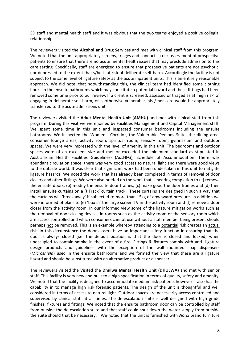ED staff and mental health staff and it was obvious that the two teams enjoyed a positive collegial relationship.

The reviewers visited the **Alcohol and Drug Services** and met with clinical staff from this program. We noted that the unit appropriately screens, triages and conducts a risk assessment of prospective patients to ensure that there are no acute mental health issues that may preclude admission to this care setting. Specifically, staff are energized to ensure that prospective patients are not psychotic, nor depressed to the extent that s/he is at risk of deliberate self-harm. Accordingly the facility is not subject to the same level of ligature safety as the acute inpatient units. This is an entirely reasonable approach. We did note, that notwithstanding this, the clinical team had identified some clothing hooks in the ensuite bathrooms which may constitute a potential hazard and these fittings had been removed some time prior to our review. If a client is screened, assessed or triaged as at 'high risk' of engaging in deliberate self-harm, or is otherwise vulnerable, his / her care would be appropriately transferred to the acute admissions unit.

The reviewers visited the **Adult Mental Health Unit (AMHU)** and met with clinical staff from this program. During this visit we were joined by Facilities Management and Capital Management staff. We spent some time in this unit and inspected consumer bedrooms including the ensuite bathrooms. We inspected the Women's Corridor, the Vulnerable Persons Suite, the dining area, consumer lounge areas, activity room, spiritual room, sensory room, gymnasium and outdoor spaces. We were very impressed with the level of amenity in this unit. The bedrooms and outdoor spaces were of an excellent size and met or exceeded the minimum standard as stipulated in Australasian Health Facilities Guidelines‐ (AusHFG), Schedule of Accommodation. There was abundant circulation space, there was very good access to natural light and there were good views to the outside world. It was clear that significant work had been undertaken in this unit to mitigate ligature hazards. We noted the work that has already been completed in terms of removal of door closers and other fittings. We were also briefed on the work that is nearing completion to (a) remove the ensuite doors, (b) modify the ensuite door frames, (c) make good the door frames and (d) then install ensuite curtains on a 'J Track' curtain track. These curtains are designed in such a way that the curtains will 'break away' if subjected to more than 15kg of downward pressure. In addition we were informed of plans to (e) 'box in' the large screen TV in the activity room and (f) remove a door closer from the activity room. In our informed view some of the ligature mitigation works such as the removal of door closing devices in rooms such as the activity room or the sensory room which are access controlled and which consumers cannot use without a staff member being present should perhaps not be removed. This is an example whereby attending to a potential risk creates an actual risk. In this circumstance the door closers have an important safety function in ensuring that the door is always closed (i.e. the default position is that the door is closed and locked) when unoccupied to contain smoke in the event of a fire. Fittings & fixtures comply with anti-ligature design products and guidelines with the exception of the wall mounted soap dispensers (*Microshield*) used in the ensuite bathrooms and we formed the view that these are a ligature hazard and should be substituted with an alternative product or dispenser.

The reviewers visited the Visited the **Dhulwa Mental Health Unit (DHULWA)** and met with senior staff. This facility is very new and built to a high specification in terms of quality, safety and amenity. We noted that the facility is designed to accommodate medium risk patients however it also has the capability in to manage high risk forensic patients. The design of the unit is thoughtful and well considered in terms of access to natural light. Outdoor spaces are necessarily access controlled and supervised by clinical staff at all times. The de-escalation suite is well designed with high grade finishes, fixtures and fittings. We noted that the ensuite bathroom door can be controlled by staff from outside the de‐escalation suite and that staff could shut down the water supply from outside the suite should that be necessary. We noted that the unit is furnished with *Norix* brand furniture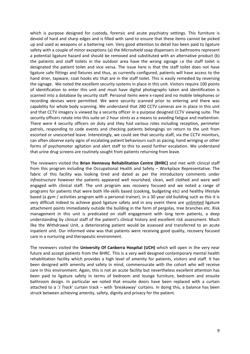which is purpose designed for custody, forensic and acute psychiatry settings. This furniture is devoid of hard and sharp edges and is filled with sand to ensure that these items cannot be picked up and used as weapons or a battering ram. Very good attention to detail has been paid to ligature safety with a couple of minor exceptions (a) the *Microshield* soap dispensers in bathrooms represent a potential ligature hazard and should be removed and substituted with an alternative product (b) the patients and staff toilets in the outdoor area have the wrong signage i.e the staff toilet is designated the patient toilet and vice versa. The issue here is that the staff toilet does not have ligature safe fittings and fixtures and thus, as currently configured, patients will have access to the hand drier, tapware, coat hooks etc that are in the staff toilet. This is easily remedied by reversing the signage. We noted the excellent security systems in place in this unit. Visitors require 100 points of identification to enter this unit and must have digital photographs taken and identification is scanned into a database by security staff. Personal items were x-rayed and no mobile telephones or recording devises were permitted. We were security scanned prior to entering and there was capability for whole body scanning. We understand that 280 CCTV cameras are in place in this unit and that CCTV imagery is viewed by a security officer in a purpose designed CCTV viewing suite. The security officers rotate into this suite on 2 hour stints as a means to avoiding fatigue and inattention. There were 4 security officers on duty and they had various roles including reception, perimeter patrols, responding to code events and checking patients belongings on return to the unit from escorted or unescorted leave. Interestingly, we could see that security staff, via the CCTV monitors, can often observe early signs of escalating patient behaviours such as pacing, hand wringing or other forms of psychomotor agitation and alert staff to this to avoid further escalation. We understand that urine drug screens are routinely sought from patients returning from leave.

The reviewers visited the **Brian Hennessy Rehabilitation Centre (BHRC)** and met with clinical staff from this program including the Occupational Health and Safety – Workplace Representative. The fabric of this facility was looking tired and dated as per the introductory comments under *infrastructure* however the patients appeared well nourished, clean, well clothed and were well engaged with clinical staff. The unit program was recovery focused and we noted a range of programs for patients that were both life‐skills based (cooking, budgeting etc) and healthy lifestyle based (a gym / activities program with a personal trainer). In a 30 year old building such as this it is very difficult indeed to achieve good ligature safety and in any event there are unlimited ligature attachment points immediately outside the building in the form of pergolas, tree branches etc. Risk management in this unit is predicated on staff engagement with long term patients, a deep understanding by clinical staff of the patient's clinical history and excellent risk assessment. Much like the Withdrawal Unit, a deteriorating patient would be assessed and transferred to an acute inpatient unit. Our informed view was that patients were receiving good quality, recovery focused care in a nurturing and therapeutic environment.

The reviewers visited the **University Of Canberra Hospital (UCH)** which will open in the very near future and accept patients from the BHRC. This is a very well designed contemporary mental health rehabilitation facility which provides a high level of amenity for patients, visitors and staff. It has been designed with amenity and safety in mind, commensurate with the cohort who will receive care in this environment. Again, this is not an acute facility but nevertheless excellent attention has been paid to ligature safety in terms of bedroom and lounge furniture, bedroom and ensuite bathroom design. In particular we noted that ensuite doors have been replaced with a curtain attached to a '*J Track'* curtain track – with 'breakaway' curtains. In doing this, a balance has been struck between achieving amenity, safety, dignity and privacy for the patient.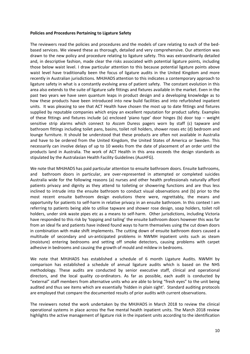#### **Policies and Procedures Pertaining to Ligature Safety**

The reviewers read the policies and procedures and the models of care relating to each of the bed‐ based services. We viewed these as thorough, detailed and very comprehensive. Our attention was drawn to the new policy and procedure relating to ligature safety. This was extraordinarily detailed and, in descriptive fashion, made clear the risks associated with potential ligature points, including those below waist level. I draw particular attention to this because potential ligature points above waist level have traditionally been the focus of ligature audits in the United Kingdom and more recently in Australian jurisdictions. MHJHADS attention to this indicates a contemporary approach to ligature safety in what is a constantly evolving area of patient safety. The constant evolution in this area also extends to the suite of ligature safe fittings and fixtures available in the market. Even in the past two years we have seen quantum leaps in product design and a developing knowledge as to how these products have been introduced into new build facilities and into refurbished inpatient units. It was pleasing to see that ACT Health have chosen the most up to date fittings and fixtures supplied by reputable companies which enjoy an excellent reputation for product safety. Examples of these fittings and fixtures include (a) enclosed 'piano type' door hinges (b) door top – weight sensitive strip alarms which connect to *Ascom* Duress pagers worn by staff (c) tapware and bathroom fittings including toilet pans, basins, toilet roll holders, shower roses etc (d) bedroom and lounge furniture. It should be understood that these products are often not available in Australia and have to be ordered from the United Kingdom, the United States of America or Sweden. This necessarily can involve delays of up to 10 weeks from the date of placement of an order until the products land in Australia. The work of ACT Health in this area exceeds the design standards as stipulated by the Australasian Health Facility Guidelines (AusHFG).

We note that MHJHADS has paid particular attention to ensuite bathroom doors. Ensuite bathrooms, and bathroom doors in particular, are over-represented in attempted or completed suicides Australia wide for the following reasons (a) nurses and other health professionals naturally afford patients privacy and dignity as they attend to toileting or showering functions and are thus less inclined to intrude into the ensuite bathroom to conduct visual observations and (b) prior to the most recent ensuite bathroom design evolutions there were, regrettably, the means and opportunity for patients to self‐harm in relative privacy in an ensuite bathroom. In this context I am referring to patients being able to utilise tapware and shower rose design, soap holders, toilet roll holders, under sink waste pipes etc as a means to self-harm. Other jurisdictions, including Victoria have responded to this risk by 'topping and tailing' the ensuite bathroom doors however this was far from an ideal fix and patients have indeed found ways to harm themselves using the cut down doors in combination with make shift implements. The cutting down of ensuite bathroom doors caused a multitude of secondary and un‐anticipated problems in NWMH inpatient units such as steam (moisture) entering bedrooms and setting off smoke detectors, causing problems with carpet adhesive in bedrooms and causing the growth of mould and mildew in bedrooms.

We note that MHJHADS has established a schedule of 6 month Ligature Audits. NWMH by comparison has established a schedule of annual ligature audits which is based on the NHS methodology. These audits are conducted by senior executive staff, clinical and operational directors, and the local quality co-ordinators. As far as possible, each audit is conducted by "external" staff members from alternative units who are able to bring "fresh eyes" to the unit being audited and thus see items which are essentially 'hidden in plain sight'. Standard auditing protocols are employed that compare the documented results of prior audits with current observations.

The reviewers noted the work undertaken by the MHJHADS in March 2018 to review the clinical operational systems in place across the five mental health inpatient units. The March 2018 review highlights the active management of ligature risk in the inpatient units according to the identification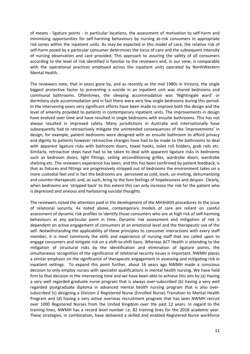of *means* ‐ ligature points ‐ in particular locations, the assessment of *motivation* to self‐harm and minimising *opportunities* for self‐harming behaviours by nursing at‐risk consumers in appropriate risk zones within the inpatient units. As may be expected in this model of care, the relative risk of self-harm posed by a particular consumer determines the locus of care and the subsequent intensity of nursing observation and care provided. This approach to assuring the safety of all consumers according to the level of risk identified is familiar to the reviewers and, in our view, is comparable with the operational practices employed across the inpatient units operated by NorthWestern Mental Health.

The reviewers note, that in years gone by, and as recently as the mid 1980s in Victoria, the single biggest protective factor to preventing a suicide in an inpatient unit was shared bedrooms and communal bathrooms. Oftentimes, the sleeping accommodation was 'Nightingale ward' or dormitory style accommodation and in fact there were very few single bedrooms during this period. In the intervening years very significant efforts have been made to improve both the design and the level of amenity provided to patients in contemporary inpatient units. The improvements in design have evolved over time and have resulted in single bedrooms with ensuite bathrooms. This has not always resulted in improved safety. Many jurisdictions in Australia and internationally have subsequently had to retroactively mitigate the unintended consequences of the 'improvements' in design, for example, patient bedrooms were designed with an ensuite bathroom to afford privacy and dignity to patients however retroactive changes have had to be made to the bathrooms to deal with apparent ligature risks with bathroom doors, towel hooks, toilet roll holders, grab rails etc. Similarly, retroactive steps have had to be taken to deal with apparent ligature risks in bedrooms such as bedroom doors, light fittings, ceiling airconditioning grilles, wardrobe doors, wardrobe shelving etc. The reviewers experience has been, and this has been confirmed by patient feedback, is that as fixtures and fittings are progressively stripped out of bedrooms the environment takes on a more custodial feel and in fact the bedrooms are perceived as cold, stark, un-inviting, dehumanizing and counter-therapeutic and, as such, bring to the fore feelings of hopelessness and despair. Clearly, when bedrooms are 'stripped back' to this extent this can only increase the risk for the patient who is depressed and anxious and harbouring suicidal thoughts.

The reviewers noted the attention paid in the development of the MHJHADS procedures to the issue of relational security. As noted above, contemporary models of care are reliant on careful assessment of dynamic risk profiles to identify those consumers who are at high risk of self-harming behaviours at any particular point in time. Dynamic risk assessment and mitigation of risk is dependent on active engagement of consumers at an emotional level and the therapeutic use of the self. Notwithstanding the applicability of these principles to consumer interactions with every staff member, it is most commonly the skills and experience of nursing staff that are called upon to engage consumers and mitigate risk on a shift-to-shift basis. Whereas ACT Health is attending to the mitigation of structural risks by the identification and elimination of ligature points, the simultaneous recognition of the significance of relational security issues is important. NWMH places a similar emphasis on the significance of therapeutic engagement in assessing and mitigating risk in inpatient settings. To expand this point further, about 16 years ago NWMH made a conscious decision to only employ nurses with specialist qualifications in mental health nursing. We have held firm to that decision in the intervening time and we have been able to achieve this aim by (a) Having a very well regarded graduate nurse program that is always over-subscribed (b) having a very well regarded postgraduate diploma in advanced mental health nursing program that is also over‐ subscribed (c) designing a Division 2 Registered Nurse (Enrolled Nurse) Transition to Mental Health Program and (d) having a very active overseas recruitment program that has seen NWMH recruit over 1000 Registered Nurses from the United Kingdom over the past 12 years. In regard to the training lines, NWMH has a record level number i.e. 82 training lines for the 2018 academic year. These strategies, in combination, have delivered a skilled and enabled Registered Nurse workforce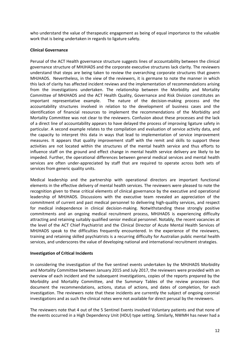who understand the value of therapeutic engagement as being of equal importance to the valuable work that is being undertaken in regards to ligature safety.

#### **Clinical Governance**

Perusal of the ACT Health governance structure suggests lines of accountability between the clinical governance structure of MHJHADS and the corporate executive structures lack clarity. The reviewers understand that steps are being taken to review the overarching corporate structures that govern MHJHADS. Nevertheless, in the view of the reviewers, it is germane to note the manner in which this lack of clarity has affected incident reviews and the implementation of recommendations arising from the investigations undertaken. The relationship between the Morbidity and Mortality Committee of MHJHADS and the ACT Health Quality, Governance and Risk Division constitutes an important representative example. The nature of the decision-making process and the accountability structures involved in relation to the development of business cases and the identification of financial resources to implement the recommendations of the Morbidity and Mortality Committee was not clear to the reviewers. Confusion about these processes and the lack of a direct line of accountability appears to have delayed the process of improving ligature safety in particular. A second example relates to the compilation and evaluation of service activity data, and the capacity to interpret this data in ways that lead to implementation of service improvement measures. It appears that quality improvement staff with the remit and skills to support these activities are not located within the structures of the mental health service and thus efforts to influence staff on the ground and effect change in mental health service delivery are likely to be impeded. Further, the operational differences between general medical services and mental health services are often under-appreciated by staff that are required to operate across both sets of services from generic quality units.

Medical leadership and the partnership with operational directors are important functional elements in the effective delivery of mental health services. The reviewers were pleased to note the recognition given to these critical elements of clinical governance by the executive and operational leadership of MHJHADS. Discussions with the executive team revealed an appreciation of the commitment of current and past medical personnel to delivering high-quality services, and respect for medical independence in clinical decision-making. Notwithstanding these strongly positive commitments and an ongoing medical recruitment process, MHJHADS is experiencing difficulty attracting and retaining suitably qualified senior medical personnel. Notably, the recent vacancies at the level of the ACT Chief Psychiatrist and the Clinical Director of Acute Mental Health Services of MHJHADS speak to the difficulties frequently encountered. In the experience of the reviewers, training and retaining skilled psychiatrists is a recurring difficulty for Australian public mental health services, and underscores the value of developing national and international recruitment strategies.

#### **Investigation of Critical Incidents**

In considering the investigation of the five sentinel events undertaken by the MHJHADS Morbidity and Mortality Committee between January 2015 and July 2017, the reviewers were provided with an overview of each incident and the subsequent investigations, copies of the reports prepared by the Morbidity and Mortality Committee, and the Summary Tables of the review processes that document the recommendations, actions, status of actions, and dates of completion, for each investigation. The reviewers note that these incidents are currently the subject of ongoing coronial investigations and as such the clinical notes were not available for direct perusal by the reviewers.

The reviewers note that 4 out of the 5 Sentinel Events involved Voluntary patients and that none of the events occurred in a High Dependency Unit (HDU) type setting. Similarly, NWMH has never had a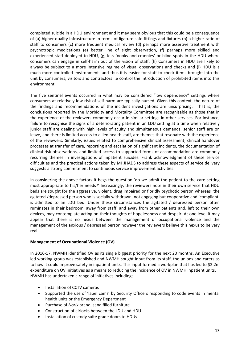completed suicide in a HDU environment and it may seem obvious that this could be a consequence of (a) higher quality infrastructure in terms of ligature safe fittings and fixtures (b) a higher ratio of staff to consumers (c) more frequent medical review (d) perhaps more assertive treatment with psychotropic medications (e) better line of sight observation, (f) perhaps more skilled and experienced staff deployed to HDU, (g) less 'nooks and crannies' or blind spots in the HDU where consumers can engage in self‐harm out of the vision of staff, (h) Consumers in HDU are likely to always be subject to a more intensive regime of visual observations and checks and (i) HDU is a much more controlled environment and thus it is easier for staff to check items brought into the unit by consumers, visitors and contractors i.e control the introduction of prohibited items into this environment.

The five sentinel events occurred in what may be considered "low dependency" settings where consumers at relatively low risk of self‐harm are typically nursed. Given this context, the nature of the findings and recommendations of the incident investigations are unsurprising. That is, the conclusions reported by the Morbidity and Mortality Committee are recognisable as those that in the experience of the reviewers commonly occur in similar settings in other services. For instance, failure to recognise the signs of a deteriorating patient in an LDU setting at a time when relatively junior staff are dealing with high levels of acuity and simultaneous demands, senior staff are on leave, and there is limited access to allied health staff, are themes that resonate with the experience of the reviewers. Similarly, issues related to comprehensive clinical assessment, clinical handover processes at transfer of care, reporting and escalation of significant incidents, the documentation of clinical risk observations, and limited access to supported forms of accommodation are commonly recurring themes in investigations of inpatient suicides. Frank acknowledgment of these service difficulties and the practical actions taken by MHJHADS to address these aspects of service delivery suggests a strong commitment to continuous service improvement activities.

In considering the above factors it begs the question 'do we admit the patient to the care setting most appropriate to his/her needs?' Increasingly, the reviewers note in their own service that HDU beds are sought for the aggressive, violent, drug impaired or floridly psychotic person whereas the agitated /depressed person who is socially withdrawn, not engaging but cooperative and 'compliant' is admitted to an LDU bed. Under these circumstances the agitated / depressed person often ruminates in their bedroom, away from staff, and away from other patients and, left to their own devices, may contemplate acting on their thoughts of hopelessness and despair. At one level it may appear that there is no nexus between the management of occupational violence and the management of the anxious / depressed person however the reviewers believe this nexus to be very real.

#### **Management of Occupational Violence (OV)**

In 2016‐17, NWMH identified OV as its single biggest priority for the next 20 months. An Executive led working group was established and NWMH sought input from its staff, the unions and carers as to how it could improve safety in inpatient units. This input formed a workplan that has led to \$2.2m expenditure on OV initiatives as a means to reducing the incidence of OV in NWMH inpatient units. NWMH has undertaken a range of initiatives including;

- Installation of CCTV cameras
- Supported the use of 'lapel cams' by Security Officers responding to code events in mental health units or the Emergency Department
- Purchase of *Norix* brand, sand filled furniture
- Construction of airlocks between the LDU and HDU
- Installation of custody suite grade doors to HDUs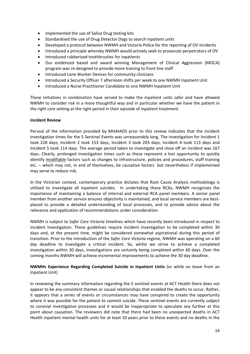- Implemented the use of Saliva Drug testing kits
- Standardised the use of Drug Detector Dogs to search inpatient units
- Developed a protocol between NWMH and Victoria Police for the reporting of OV incidents
- Introduced a principle whereby NWMH would actively seek to prosecute perpetrators of OV
- Introduced rubberised toothbrushes for inpatients
- Our evidenced based and award winning Management of Clinical Aggression (MOCA) program was re‐designed to provide more training to front line staff
- Introduced Lone Worker Devices for community clinicians
- Introduced a Security Officer 7 afternoon shifts per week to one NWMH Inpatient Unit
- Introduced a Nurse Practitioner Candidate to one NWMH Inpatient Unit

These initiatives in combination have served to make the inpatient units safer and have allowed NWMH to consider risk in a more thoughtful way and in particular whether we have the patient in the right care setting at the right period in their episode of inpatient treatment.

#### **Incident Review**

Perusal of the information provided by MHJHADS prior to this review indicates that the incident investigation times for the 5 Sentinel Events was unreasonably long. The investigation for Incident 1 took 228 days, Incident 2 took 153 days, Incident 3 took 203 days, Incident 4 took 113 days and Incident 5 took 114 days. The average period taken to investigate and close off an incident was 167 days. Clearly, prolonged investigation times such as these represent a lost opportunity to quickly identify modifiable factors such as changes to infrastructure, policies and procedures, staff training etc. – which may not, in and of themselves, be causative factors but nevertheless if implemented may serve to reduce risk.

In the Victorian context, contemporary practice dictates that Root Cause Analysis methodology is utilised to investigate all inpatient suicides. In undertaking these RCAs, NWMH recognises the importance of maintaining a balance of internal and external RCA panel members. A senior panel member from another service ensures objectivity is maintained, and local service members are bestplaced to provide a detailed understanding of local processes, and to provide advice about the relevance and application of recommendations under consideration.

NWMH is subject to *Safer Care Victoria* timelines which have recently been introduced in respect to incident investigation. These guidelines require incident investigation to be completed within 30 days and, at the present time, might be considered somewhat aspirational during this period of transition. Prior to the introduction of the *Safer Care Victoria* regime, NWMH was operating on a 60 day deadline to investigate a critical incident. So, whilst we strive to achieve a completed investigation within 30 days, investigations are certainly being completed within 60 days. Over the coming months NWMH will achieve incremental improvements to achieve the 30 day deadline.

#### **NWMHs Experience Regarding Completed Suicide in Inpatient Units** (or while on leave from an Inpatient Unit)

In reviewing the summary information regarding the 5 sentinel events at ACT Health there does not appear to be any consistent themes or causal relationships that enabled the deaths to occur. Rather, it appears that a series of events or circumstances may have conspired to create the opportunity where it was possible for the patient to commit suicide. These sentinel events are currently subject to coronial investigative processes and it would be inappropriate to speculate any further at this point about causation. The reviewers did note that there had been no unexpected deaths in ACT Health inpatient mental health units for at least 10 years prior to these events and no deaths in the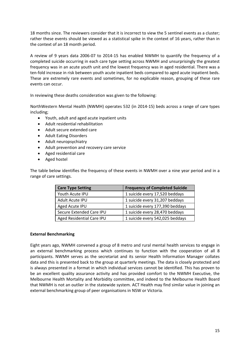18 months since. The reviewers consider that it is incorrect to view the 5 sentinel events as a cluster; rather these events should be viewed as a statistical spike in the context of 16 years, rather than in the context of an 18 month period.

A review of 9 years data 2006‐07 to 2014‐15 has enabled NWMH to quantify the frequency of a completed suicide occurring in each care type setting across NWMH and unsurprisingly the greatest frequency was in an acute youth unit and the lowest frequency was in aged residential. There was a ten-fold increase in risk between youth acute inpatient beds compared to aged acute inpatient beds. These are extremely rare events and sometimes, for no explicable reason, grouping of these rare events can occur.

In reviewing these deaths consideration was given to the following:

NorthWestern Mental Health (NWMH) operates 532 (in 2014‐15) beds across a range of care types including;

- Youth, adult and aged acute inpatient units
- Adult residential rehabilitation
- Adult secure extended care
- Adult Eating Disorders
- Adult neuropsychiatry
- Adult prevention and recovery care service
- Aged residential care
- Aged hostel

The table below identifies the frequency of these events in NWMH over a nine year period and in a range of care settings.

| <b>Care Type Setting</b>  | <b>Frequency of Completed Suicide</b> |
|---------------------------|---------------------------------------|
| Youth Acute IPU           | 1 suicide every 17,520 beddays        |
| Adult Acute IPU           | 1 suicide every 31,207 beddays        |
| Aged Acute IPU            | 1 suicide every 177,390 beddays       |
| Secure Extended Care IPU  | 1 suicide every 28,470 beddays        |
| Aged Residential Care IPU | 1 suicide every 542,025 beddays       |

#### **External Benchmarking**

Eight years ago, NWMH convened a group of 8 metro and rural mental health services to engage in an external benchmarking process which continues to function with the cooperation of all 8 participants. NWMH serves as the secretariat and its senior Health Information Manager collates data and this is presented back to the group at quarterly meetings. The data is closely protected and is always presented in a format in which individual services cannot be identified. This has proven to be an excellent quality assurance activity and has provided comfort to the NWMH Executive, the Melbourne Health Mortality and Morbidity committee, and indeed to the Melbourne Health Board that NWMH is not an outlier in the statewide system. ACT Health may find similar value in joining an external benchmarking group of peer organisations in NSW or Victoria.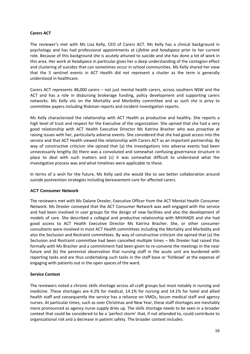#### **Carers ACT**

The reviewer's met with Ms Lisa Kelly, CEO of Carers ACT. Ms Kelly has a clinical background in psychology and has had professional appointments at *Lifeline* and *headspace* prior to her current role*.* Because of this background she is acutely attuned to suicide and she has done a lot of work in this area. Her work at *headspace* in particular gives her a deep understanding of the contagion effect and clustering of suicides that can sometimes occur in school communities. Ms Kelly shared her view that the 5 sentinel events in ACT Health did not represent a cluster as the term is generally understood in healthcare.

Carers ACT represents 48,000 carers – not just mental health carers, across southern NSW and the ACT and has a role in disbursing brokerage funding, policy development and supporting carers networks. Ms Kelly sits on the Mortality and Morbidity committee and as such she is privy to committee papers including Riskman reports and incident investigation reports.

Ms Kelly characterized the relationship with ACT Health as productive and healthy. She reports a high level of trust and respect for the Executive of the organization. She opined that she had a very good relationship with ACT Health Executive Director Ms Katrina Bracher who was proactive at raising issues with her, particularly adverse events. She considered that she had good access into the service and that ACT Health viewed the relationship with Carers ACT as an important partnership. By way of constructive criticism she opined that (a) the investigations into adverse events had been unnecessarily lengthy (b) there was a convoluted and somewhat confusing governance structure in place to deal with such matters and (c) it was somewhat difficult to understand what the investigative process was and what timelines were applicable to these.

In terms of a wish for the future, Ms Kelly said she would like to see better collaboration around suicide postvention strategies including bereavement care for affected carers.

#### **ACT Consumer Network**

The reviewers met with Ms Dalane Drexler, Executive Officer from the ACT Mental Health Consumer Network. Ms Drexler conveyed that the ACT Consumer Network was well engaged with the service and had been involved in user groups for the design of new facilities and also the development of models of care. She described a collegial and productive relationship with MHJHADS and she had good access to ACT Health Executive Director Ms Katrina Bracher. She, or other consumer consultants were involved in most ACT Health committees including the Mortality and Morbidity and also the Seclusion and Restraint committees. By way of constructive criticism she opined that (a) the Seclusion and Restraint committee had been cancelled multiple times – Ms Drexler had raised this formally with Ms Bracher and a commitment had been given to re‐convene the meetings in the near future and (b) the perennial observation that nursing staff in the acute unit are burdened with reporting tasks and are thus undertaking such tasks in the staff base or 'fishbowl' at the expense of engaging with patients out in the open spaces of the ward.

#### **Service Context**

The reviewers noted a chronic skills shortage across all craft groups but most notably in nursing and medicine. These shortages are 4.2% for medical, 14.1% for nursing and 14.1% for hotel and allied health staff and consequently the service has a reliance on VMOs, locum medical staff and agency nurses. At particular times, such as over Christmas and New Year, these staff shortages are inevitably more pronounced as agency nurse supply dries up. The skills shortage needs to be seen in a broader context that could be considered to be a 'perfect storm' that, if not attended to, could contribute to organizational risk and a decrease in patient safety. The broader context includes: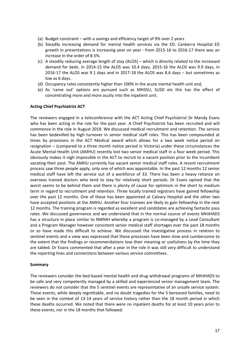- (a) Budget constraint with a savings and efficiency target of 9% over 2 years
- (b) Steadily increasing demand for mental health services via the ED. Canberra Hospital ED growth in presentations is increasing year on year ‐ from 2015‐16 to 2016‐17 there was an increase in the order of 8.5%.
- (c) A steadily reducing average length of stay (ALOS) which is directly related to the increased demand for beds. In 2014‐15 the ALOS was 10.4 days, 2015‐16 the ALOS was 9.9 days, in 2016-17 the ALOS was 9.1 days and in 2017-18 the ALOS was 8.6 days  $-$  but sometimes as low as 6 days.
- (d) Occupancy rates consistently higher than 100% in the acute mental health unit and,
- (e) As 'carve out' options are pursued such as MHSSU, SUSD etc this has the effect of concentrating more and more acuity into the inpatient unit.

#### **Acting Chief Psychiatrist ACT**

The reviewers engaged in a teleconference with the ACT Acting Chief Psychiatrist Dr Mandy Evans who has been acting in the role for the past year. A Chief Psychiatrist has been recruited and will commence in the role in August 2018. We discussed medical recruitment and retention. The service has been bedevilled by high turnover in senior medical staff roles. This has been compounded at times by provisions in the ACT Medical award which allows for a two week notice period on resignation – (compared to a three month notice period in Victoria) under these circumstances the Acute Mental Health Unit (AMHU) recently lost two senior medical staff in a four week period. This obviously makes it nigh impossible in the ACT to recruit to a vacant position prior to the incumbent vacating their post. The AMHU currently has vacant senior medical staff roles. A recent recruitment process saw three people apply, only one of which was appointable. In the past 12 months 12 senior medical staff have left the service out of a workforce of 33. There has been a heavy reliance on overseas trained doctors who tend to stay for relatively short periods. Dr Evans opined that the worst seems to be behind them and there is plenty of cause for optimism in the short to medium term in regard to recruitment and retention. Three locally trained registrars have gained fellowship over the past 12 months. One of these has been appointed at Calvary Hospital and the other two have accepted positions at the AMHU. Another four trainees are likely to gain fellowship in the next 12 months. The training program is regarded as excellent and candidates are achieving fantastic pass rates. We discussed governance and we understand that in the normal course of events MHJHADS has a structure in place similar to NWMH whereby a program is co-managed by a Lead Consultant and a Program Manager however consistent senior medical staff shortages over the past 18 months or so have made this difficult to achieve. We discussed the investigative process in relation to sentinel events and a view was expressed that these processes have been slow and cumbersome to the extent that the findings or recommendations lose their meaning or usefulness by the time they are tabled. Dr Evans commented that after a year in the role it was still very difficult to understand the reporting lines and connections between various service committees.

#### **Summary**

The reviewers consider the bed‐based mental health and drug withdrawal programs of MHJHADS to be safe and very competently managed by a skilled and experienced senior management team. The reviewers do not consider that the 5 sentinel events are representative of an unsafe service system. These events, while deeply regrettable, and no doubt tragedies for the 5 bereaved families, need to be seen in the context of 13-14 years of service history rather than the 18 month period in which these deaths occurred. We noted that there were no inpatient deaths for at least 10 years prior to these events, nor in the 18 months that followed.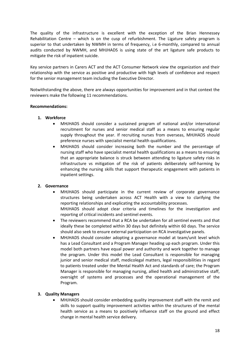The quality of the infrastructure is excellent with the exception of the Brian Hennessey Rehabilitation Centre – which is on the cusp of refurbishment. The Ligature safety program is superior to that undertaken by NWMH in terms of frequency, i.e 6-monthly, compared to annual audits conducted by NWMH, and MHJHADS is using state of the art ligature safe products to mitigate the risk of inpatient suicide.

Key service partners in Carers ACT and the ACT Consumer Network view the organization and their relationship with the service as positive and productive with high levels of confidence and respect for the senior management team including the Executive Director.

Notwithstanding the above, there are always opportunities for improvement and in that context the reviewers make the following 11 recommendations.

#### **Recommendations:**

#### **1. Workforce**

- MHJHADS should consider a sustained program of national and/or international recruitment for nurses and senior medical staff as a means to ensuring regular supply throughout the year. If recruiting nurses from overseas, MHJHADS should preference nurses with specialist mental health qualifications.
- MHJHADS should consider increasing both the number and the percentage of nursing staff who have specialist mental health qualifications as a means to ensuring that an appropriate balance is struck between attending to ligature safety risks in infrastructure vs mitigation of the risk of patients deliberately self‐harming by enhancing the nursing skills that support therapeutic engagement with patients in inpatient settings.

#### **2. Governance**

- MHJHADS should participate in the current review of corporate governance structures being undertaken across ACT Health with a view to clarifying the reporting relationships and explicating the accountability processes. MHJHADS should adopt clear criteria and timelines for the investigation and reporting of critical incidents and sentinel events.
- The reviewers recommend that a RCA be undertaken for all sentinel events and that ideally these be completed within 30 days but definitely within 60 days. The service should also seek to ensure external participation on RCA investigative panels.
- MHJHADS should consider adopting a governance model at team/unit level which has a Lead Consultant and a Program Manager heading up each program. Under this model both partners have equal power and authority and work together to manage the program. Under this model the Lead Consultant is responsible for managing junior and senior medical staff, medicolegal matters, legal responsibilities in regard to patients treated under the Mental Health Act and standards of care; the Program Manager is responsible for managing nursing, allied health and administrative staff, oversight of systems and processes and the operational management of the Program.

#### **3. Quality Managers**

 MHJHADS should consider embedding quality improvement staff with the remit and skills to support quality improvement activities within the structures of the mental health service as a means to positively influence staff on the ground and effect change in mental health service delivery.